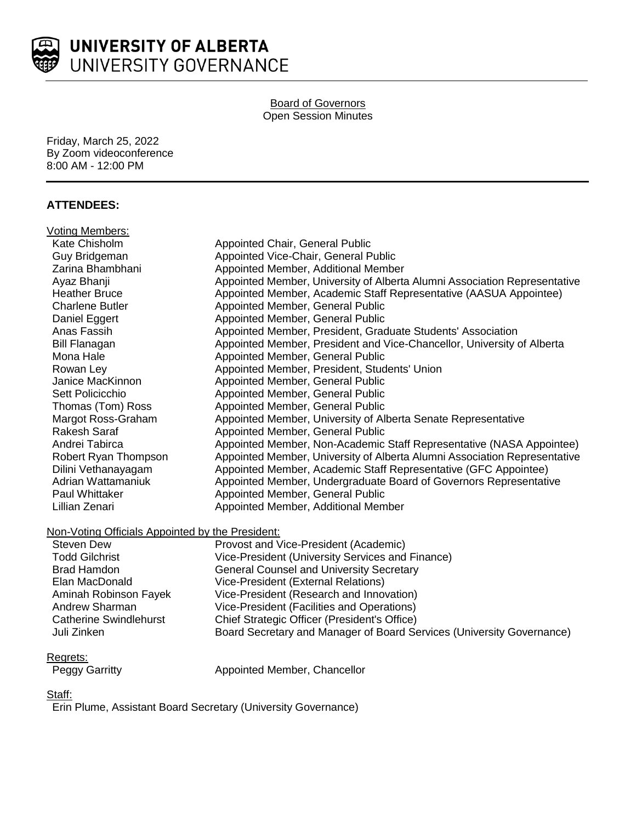

#### Board of Governors Open Session Minutes

Friday, March 25, 2022 By Zoom videoconference 8:00 AM - 12:00 PM

# **ATTENDEES:**

| Voting Members:                                                       |                                                                           |
|-----------------------------------------------------------------------|---------------------------------------------------------------------------|
| Kate Chisholm                                                         | Appointed Chair, General Public                                           |
| Guy Bridgeman                                                         | Appointed Vice-Chair, General Public                                      |
| Zarina Bhambhani                                                      | Appointed Member, Additional Member                                       |
| Ayaz Bhanji                                                           | Appointed Member, University of Alberta Alumni Association Representative |
| <b>Heather Bruce</b>                                                  | Appointed Member, Academic Staff Representative (AASUA Appointee)         |
| <b>Charlene Butler</b>                                                | Appointed Member, General Public                                          |
| Daniel Eggert                                                         | Appointed Member, General Public                                          |
| Anas Fassih                                                           | Appointed Member, President, Graduate Students' Association               |
| <b>Bill Flanagan</b>                                                  | Appointed Member, President and Vice-Chancellor, University of Alberta    |
| Mona Hale                                                             | Appointed Member, General Public                                          |
| Rowan Ley                                                             | Appointed Member, President, Students' Union                              |
| Janice MacKinnon                                                      | Appointed Member, General Public                                          |
| Sett Policicchio                                                      | Appointed Member, General Public                                          |
| Thomas (Tom) Ross                                                     | Appointed Member, General Public                                          |
| Margot Ross-Graham                                                    | Appointed Member, University of Alberta Senate Representative             |
| <b>Rakesh Saraf</b>                                                   | Appointed Member, General Public                                          |
| Andrei Tabirca                                                        | Appointed Member, Non-Academic Staff Representative (NASA Appointee)      |
| Robert Ryan Thompson                                                  | Appointed Member, University of Alberta Alumni Association Representative |
| Dilini Vethanayagam                                                   | Appointed Member, Academic Staff Representative (GFC Appointee)           |
| Adrian Wattamaniuk                                                    | Appointed Member, Undergraduate Board of Governors Representative         |
| Paul Whittaker                                                        | Appointed Member, General Public                                          |
| Lillian Zenari                                                        | Appointed Member, Additional Member                                       |
|                                                                       |                                                                           |
| Non-Voting Officials Appointed by the President:<br><b>Steven Dew</b> |                                                                           |
|                                                                       | Provost and Vice-President (Academic)                                     |
| <b>Todd Gilchrist</b>                                                 | Vice-President (University Services and Finance)                          |
| <b>Brad Hamdon</b><br>Elan MacDonald                                  | <b>General Counsel and University Secretary</b>                           |
|                                                                       | Vice-President (External Relations)                                       |
| Aminah Robinson Fayek                                                 | Vice-President (Research and Innovation)                                  |
| <b>Andrew Sharman</b>                                                 | Vice-President (Facilities and Operations)                                |
| <b>Catherine Swindlehurst</b>                                         | Chief Strategic Officer (President's Office)                              |

#### Regrets:

| <b>Peggy Garritty</b> |
|-----------------------|

Peggy Garritty **Appointed Member, Chancellor** 

Juli Zinken Board Secretary and Manager of Board Services (University Governance)

#### Staff:

Erin Plume, Assistant Board Secretary (University Governance)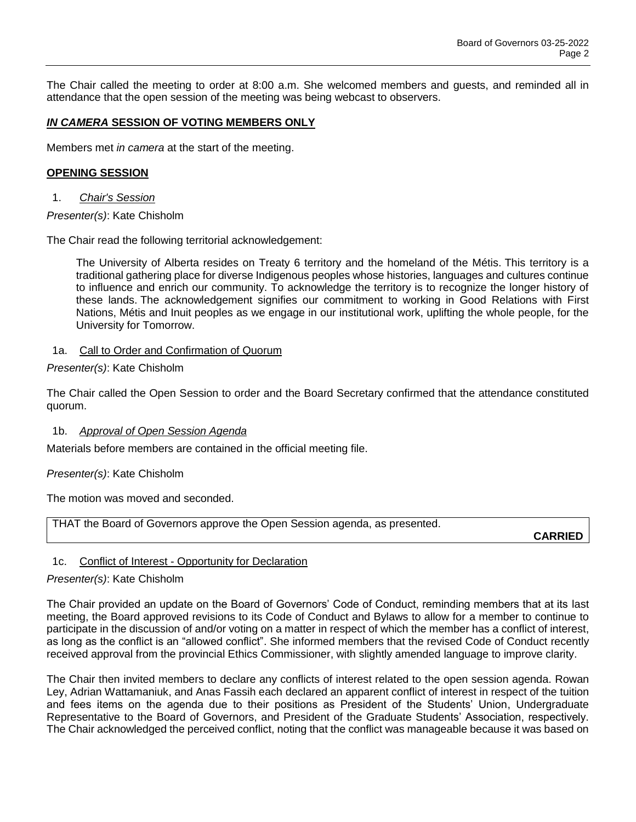The Chair called the meeting to order at 8:00 a.m. She welcomed members and guests, and reminded all in attendance that the open session of the meeting was being webcast to observers.

## *IN CAMERA* **SESSION OF VOTING MEMBERS ONLY**

Members met *in camera* at the start of the meeting.

#### **OPENING SESSION**

1. *Chair's Session*

### *Presenter(s)*: Kate Chisholm

The Chair read the following territorial acknowledgement:

The University of Alberta resides on Treaty 6 territory and the homeland of the Métis. This territory is a traditional gathering place for diverse Indigenous peoples whose histories, languages and cultures continue to influence and enrich our community. To acknowledge the territory is to recognize the longer history of these lands. The acknowledgement signifies our commitment to working in Good Relations with First Nations, Métis and Inuit peoples as we engage in our institutional work, uplifting the whole people, for the University for Tomorrow.

### 1a. Call to Order and Confirmation of Quorum

#### *Presenter(s)*: Kate Chisholm

The Chair called the Open Session to order and the Board Secretary confirmed that the attendance constituted quorum.

#### 1b. *Approval of Open Session Agenda*

Materials before members are contained in the official meeting file.

### *Presenter(s)*: Kate Chisholm

The motion was moved and seconded.

THAT the Board of Governors approve the Open Session agenda, as presented.

**CARRIED**

### 1c. Conflict of Interest - Opportunity for Declaration

#### *Presenter(s)*: Kate Chisholm

The Chair provided an update on the Board of Governors' Code of Conduct, reminding members that at its last meeting, the Board approved revisions to its Code of Conduct and Bylaws to allow for a member to continue to participate in the discussion of and/or voting on a matter in respect of which the member has a conflict of interest, as long as the conflict is an "allowed conflict". She informed members that the revised Code of Conduct recently received approval from the provincial Ethics Commissioner, with slightly amended language to improve clarity.

The Chair then invited members to declare any conflicts of interest related to the open session agenda. Rowan Ley, Adrian Wattamaniuk, and Anas Fassih each declared an apparent conflict of interest in respect of the tuition and fees items on the agenda due to their positions as President of the Students' Union, Undergraduate Representative to the Board of Governors, and President of the Graduate Students' Association, respectively. The Chair acknowledged the perceived conflict, noting that the conflict was manageable because it was based on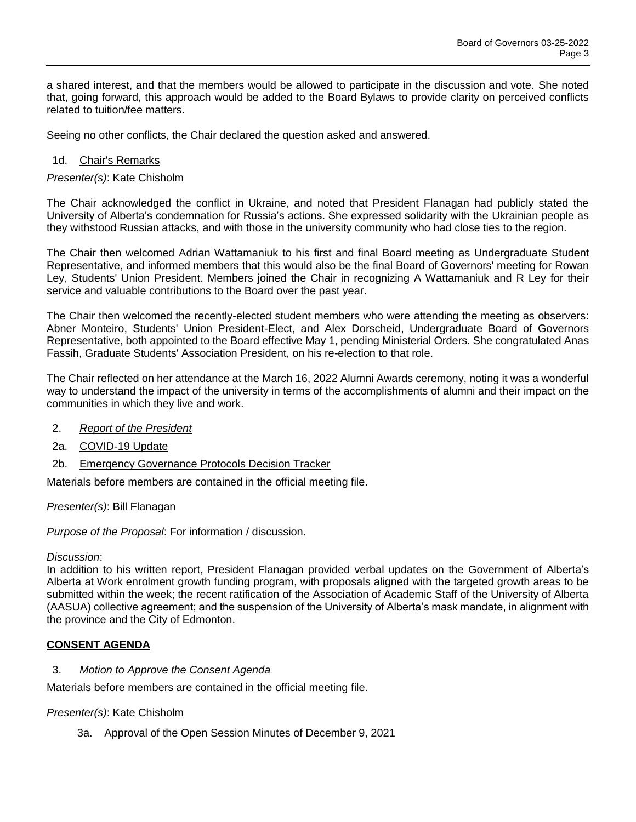a shared interest, and that the members would be allowed to participate in the discussion and vote. She noted that, going forward, this approach would be added to the Board Bylaws to provide clarity on perceived conflicts related to tuition/fee matters.

Seeing no other conflicts, the Chair declared the question asked and answered.

## 1d. Chair's Remarks

*Presenter(s)*: Kate Chisholm

The Chair acknowledged the conflict in Ukraine, and noted that President Flanagan had publicly stated the University of Alberta's condemnation for Russia's actions. She expressed solidarity with the Ukrainian people as they withstood Russian attacks, and with those in the university community who had close ties to the region.

The Chair then welcomed Adrian Wattamaniuk to his first and final Board meeting as Undergraduate Student Representative, and informed members that this would also be the final Board of Governors' meeting for Rowan Ley, Students' Union President. Members joined the Chair in recognizing A Wattamaniuk and R Ley for their service and valuable contributions to the Board over the past year.

The Chair then welcomed the recently-elected student members who were attending the meeting as observers: Abner Monteiro, Students' Union President-Elect, and Alex Dorscheid, Undergraduate Board of Governors Representative, both appointed to the Board effective May 1, pending Ministerial Orders. She congratulated Anas Fassih, Graduate Students' Association President, on his re-election to that role.

The Chair reflected on her attendance at the March 16, 2022 Alumni Awards ceremony, noting it was a wonderful way to understand the impact of the university in terms of the accomplishments of alumni and their impact on the communities in which they live and work.

- 2. *Report of the President*
- 2a. COVID-19 Update
- 2b. Emergency Governance Protocols Decision Tracker

Materials before members are contained in the official meeting file.

*Presenter(s)*: Bill Flanagan

*Purpose of the Proposal*: For information / discussion.

### *Discussion*:

In addition to his written report, President Flanagan provided verbal updates on the Government of Alberta's Alberta at Work enrolment growth funding program, with proposals aligned with the targeted growth areas to be submitted within the week; the recent ratification of the Association of Academic Staff of the University of Alberta (AASUA) collective agreement; and the suspension of the University of Alberta's mask mandate, in alignment with the province and the City of Edmonton.

# **CONSENT AGENDA**

### 3. *Motion to Approve the Consent Agenda*

Materials before members are contained in the official meeting file.

### *Presenter(s)*: Kate Chisholm

3a. Approval of the Open Session Minutes of December 9, 2021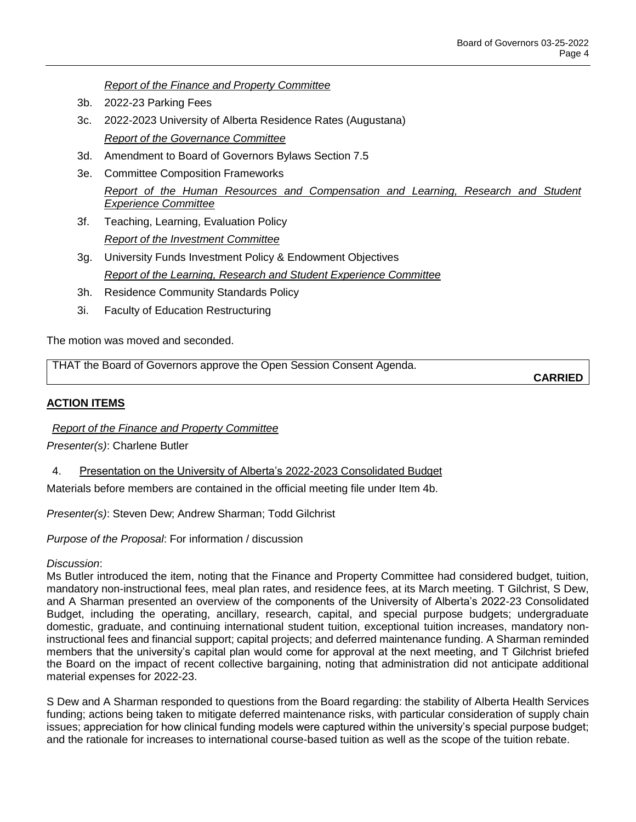*Report of the Finance and Property Committee*

- 3b. 2022-23 Parking Fees
- 3c. 2022-2023 University of Alberta Residence Rates (Augustana) *Report of the Governance Committee*
- 3d. Amendment to Board of Governors Bylaws Section 7.5
- 3e. Committee Composition Frameworks *Report of the Human Resources and Compensation and Learning, Research and Student Experience Committee*
- 3f. Teaching, Learning, Evaluation Policy *Report of the Investment Committee*
- 3g. University Funds Investment Policy & Endowment Objectives *Report of the Learning, Research and Student Experience Committee*
- 3h. Residence Community Standards Policy
- 3i. Faculty of Education Restructuring

The motion was moved and seconded.

THAT the Board of Governors approve the Open Session Consent Agenda.

**CARRIED**

### **ACTION ITEMS**

*Report of the Finance and Property Committee*

*Presenter(s)*: Charlene Butler

4. Presentation on the University of Alberta's 2022-2023 Consolidated Budget

Materials before members are contained in the official meeting file under Item 4b.

*Presenter(s)*: Steven Dew; Andrew Sharman; Todd Gilchrist

*Purpose of the Proposal*: For information / discussion

### *Discussion*:

Ms Butler introduced the item, noting that the Finance and Property Committee had considered budget, tuition, mandatory non-instructional fees, meal plan rates, and residence fees, at its March meeting. T Gilchrist, S Dew, and A Sharman presented an overview of the components of the University of Alberta's 2022-23 Consolidated Budget, including the operating, ancillary, research, capital, and special purpose budgets; undergraduate domestic, graduate, and continuing international student tuition, exceptional tuition increases, mandatory noninstructional fees and financial support; capital projects; and deferred maintenance funding. A Sharman reminded members that the university's capital plan would come for approval at the next meeting, and T Gilchrist briefed the Board on the impact of recent collective bargaining, noting that administration did not anticipate additional material expenses for 2022-23.

S Dew and A Sharman responded to questions from the Board regarding: the stability of Alberta Health Services funding; actions being taken to mitigate deferred maintenance risks, with particular consideration of supply chain issues; appreciation for how clinical funding models were captured within the university's special purpose budget; and the rationale for increases to international course-based tuition as well as the scope of the tuition rebate.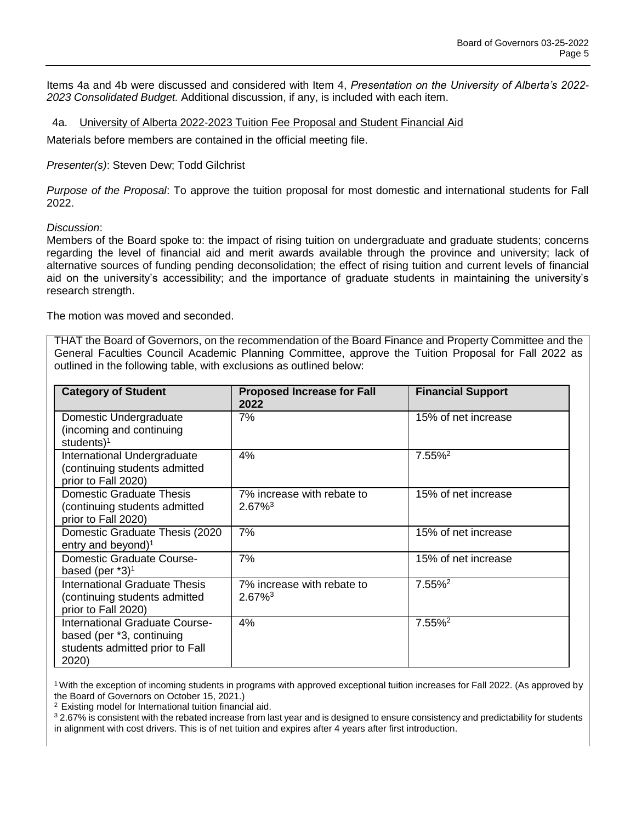Items 4a and 4b were discussed and considered with Item 4, *Presentation on the University of Alberta's 2022- 2023 Consolidated Budget.* Additional discussion, if any, is included with each item.

4a. University of Alberta 2022-2023 Tuition Fee Proposal and Student Financial Aid

Materials before members are contained in the official meeting file.

*Presenter(s)*: Steven Dew; Todd Gilchrist

*Purpose of the Proposal*: To approve the tuition proposal for most domestic and international students for Fall 2022.

#### *Discussion*:

Members of the Board spoke to: the impact of rising tuition on undergraduate and graduate students; concerns regarding the level of financial aid and merit awards available through the province and university; lack of alternative sources of funding pending deconsolidation; the effect of rising tuition and current levels of financial aid on the university's accessibility; and the importance of graduate students in maintaining the university's research strength.

The motion was moved and seconded.

THAT the Board of Governors, on the recommendation of the Board Finance and Property Committee and the General Faculties Council Academic Planning Committee, approve the Tuition Proposal for Fall 2022 as outlined in the following table, with exclusions as outlined below:

| <b>Category of Student</b>                                                                              | <b>Proposed Increase for Fall</b><br>2022           | <b>Financial Support</b> |
|---------------------------------------------------------------------------------------------------------|-----------------------------------------------------|--------------------------|
| Domestic Undergraduate<br>(incoming and continuing<br>students) <sup>1</sup>                            | 7%                                                  | 15% of net increase      |
| International Undergraduate<br>(continuing students admitted<br>prior to Fall 2020)                     | 4%                                                  | 7.55% <sup>2</sup>       |
| <b>Domestic Graduate Thesis</b><br>continuing students admitted<br>prior to Fall 2020)                  | 7% increase with rebate to<br>$2.67\%$ <sup>3</sup> | 15% of net increase      |
| Domestic Graduate Thesis (2020)<br>entry and beyond) $1$                                                | 7%                                                  | 15% of net increase      |
| <b>Domestic Graduate Course-</b><br>based (per $*3$ ) <sup>1</sup>                                      | 7%                                                  | 15% of net increase      |
| <b>International Graduate Thesis</b><br>(continuing students admitted<br>prior to Fall 2020)            | 7% increase with rebate to<br>$2.67\%$ <sup>3</sup> | $7.55\%$ <sup>2</sup>    |
| International Graduate Course-<br>based (per *3, continuing<br>students admitted prior to Fall<br>2020) | 4%                                                  | 7.55% <sup>2</sup>       |

<sup>1</sup> With the exception of incoming students in programs with approved exceptional tuition increases for Fall 2022. (As approved by the Board of Governors on October 15, 2021.)

<sup>2</sup>Existing model for International tuition financial aid.

<sup>3</sup> 2.67% is consistent with the rebated increase from last year and is designed to ensure consistency and predictability for students in alignment with cost drivers. This is of net tuition and expires after 4 years after first introduction.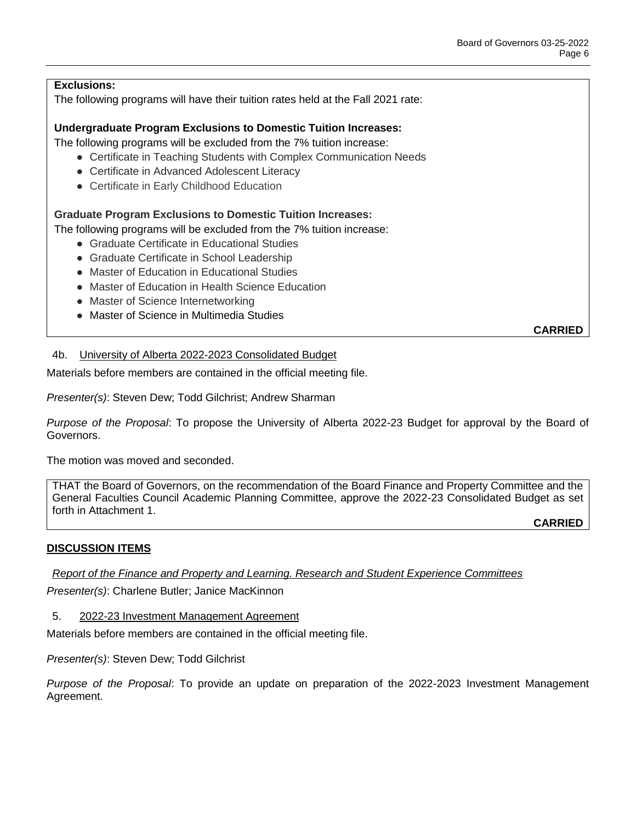# **Exclusions:**

The following programs will have their tuition rates held at the Fall 2021 rate:

### **Undergraduate Program Exclusions to Domestic Tuition Increases:**

The following programs will be excluded from the 7% tuition increase:

- Certificate in Teaching Students with Complex Communication Needs
- Certificate in Advanced Adolescent Literacy
- Certificate in Early Childhood Education

## **Graduate Program Exclusions to Domestic Tuition Increases:**

The following programs will be excluded from the 7% tuition increase:

- Graduate Certificate in Educational Studies
- Graduate Certificate in School Leadership
- Master of Education in Educational Studies
- Master of Education in Health Science Education
- Master of Science Internetworking
- Master of Science in Multimedia Studies

**CARRIED**

### 4b. University of Alberta 2022-2023 Consolidated Budget

Materials before members are contained in the official meeting file.

*Presenter(s)*: Steven Dew; Todd Gilchrist; Andrew Sharman

*Purpose of the Proposal*: To propose the University of Alberta 2022-23 Budget for approval by the Board of Governors.

The motion was moved and seconded.

THAT the Board of Governors, on the recommendation of the Board Finance and Property Committee and the General Faculties Council Academic Planning Committee, approve the 2022-23 Consolidated Budget as set forth in Attachment 1.

**CARRIED**

# **DISCUSSION ITEMS**

*Report of the Finance and Property and Learning. Research and Student Experience Committees*

*Presenter(s)*: Charlene Butler; Janice MacKinnon

5. 2022-23 Investment Management Agreement

Materials before members are contained in the official meeting file.

*Presenter(s)*: Steven Dew; Todd Gilchrist

*Purpose of the Proposal*: To provide an update on preparation of the 2022-2023 Investment Management Agreement.